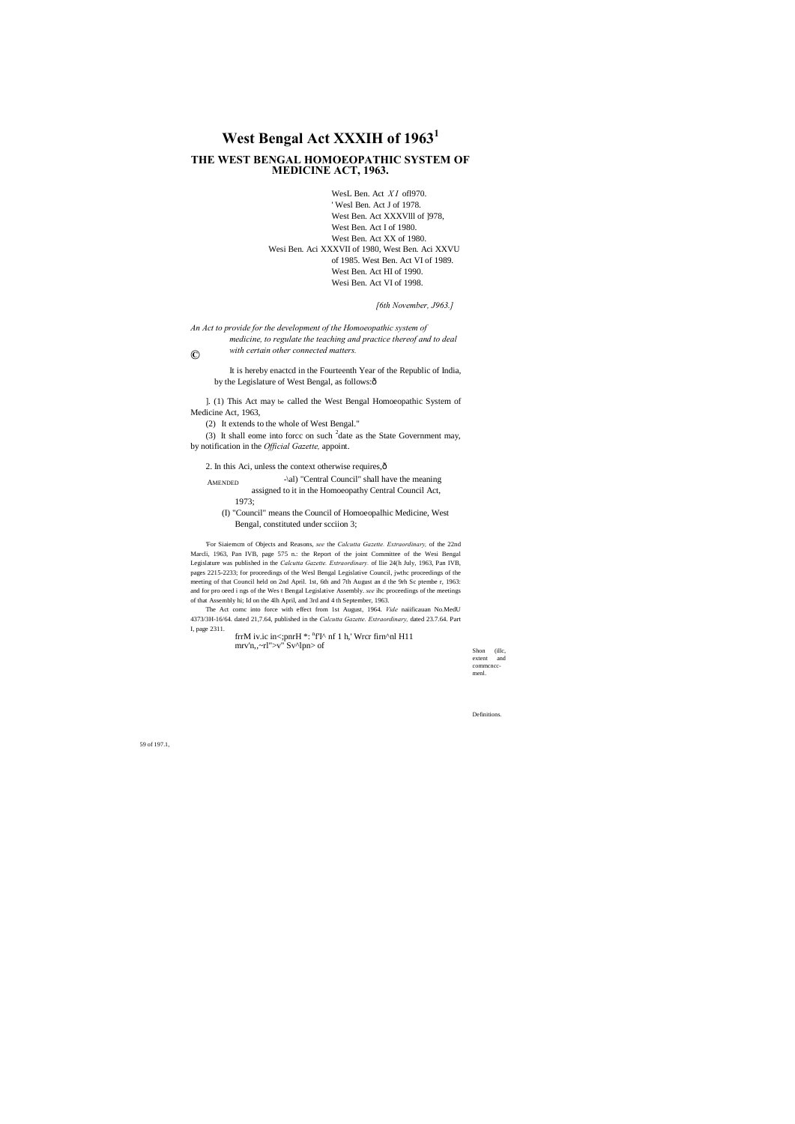**©**

Shon (ille, extent and commcnccmenl.

Definitions.

# **West Bengal Act XXXIH of 1963<sup>1</sup> THE WEST BENGAL HOMOEOPATHIC SYSTEM OF MEDICINE ACT, 1963.**

WesL Ben. Act *X I* ofl970. ' Wesl Ben. Act J of 1978. West Ben. Act XXXVlll of ]978, West Ben. Act I of 1980. West Ben. Act XX of 1980. Wesi Ben. Aci XXXVII of 1980, West Ben. Aci XXVU of 1985. West Ben. Act VI of 1989. West Ben. Act HI of 1990. Wesi Ben. Act VI of 1998.

It is hereby enactcd in the Fourteenth Year of the Republic of India, by the Legislature of West Bengal, as follows: $\hat{o}$ 

*[6th November, J963.]*

(3) It shall eome into force on such  $2$  date as the State Government may, by notification in the *Official Gazette,* appoint.

2. In this Aci, unless the context otherwise requires, $\hat{o}$ 

*An Act to provide for the development of the Homoeopathic system of medicine, to regulate the teaching and practice thereof and to deal with certain other connected matters.*

AMENDED -\al) "Central Council" shall have the meaning assigned to it in the Homoeopathy Central Council Act, 1973;

]. (1) This Act may be called the West Bengal Homoeopathic System of Medicine Act, 1963,

(2) It extends to the whole of West Bengal."

(I) "Council" means the Council of Homoeopalhic Medicine, West Bengal, constituted under scciion 3;

'For Siaiemcm of Objects and Reasons, *see* the *Calcutta Gazette. Extraordinary,* of the 22nd Marcli, 1963, Pan IVB, page 575 n.: the Report of the joint Committee of the Wesi Bengal Legislature was published in the *Calcutta Gazette. Extraordinary.* of llie 24(h July, 1963, Pan IVB, pages 2215-2233; for proceedings of the Wesl Bengal Legislative Council, jwthc proceedings of the meeting of that Council held on 2nd April. 1st, 6th and 7th August an d the 9rh Sc ptembe r, 1963: and for pro oeed i ngs of the Wes t Bengal Legislative Assembly. *see* ihc proceedings of the meetings of that Assembly hi; Id on the 4lh April, and 3rd and 4 th September, 1963.

The Act comc into force with effect from 1st August, 1964. *Vide* naiificauan No.MedU 4373/3H-16/64. dated 21,7.64, published in the *Calcutta Gazette. Extraordinary,* dated 23.7.64. Part I, page 2311.

frrM iv.ic in<;pnrH  $*$ :  ${}^n$ f'I^ nf 1 h,' Wrcr firn^nl H11 mrv'n,,~rl">v" $Sv^{\wedge}lpn>$ of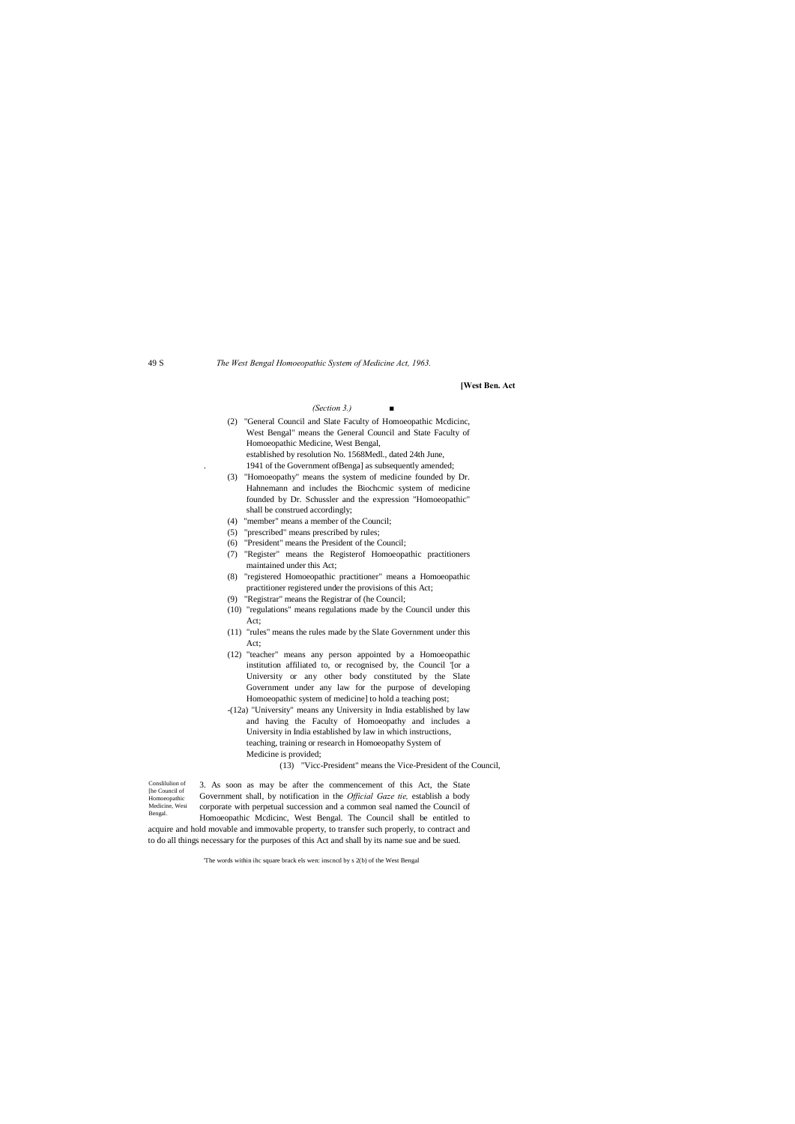- (2) "General Council and Slate Faculty of Homoeopathic Mcdicinc, West Bengal" means the General Council and State Faculty of Homoeopathic Medicine, West Bengal, established by resolution No. 1568Medl., dated 24th June, . 1941 of the Government ofBenga] as subsequently amended;
- (3) "Homoeopathy" means the system of medicine founded by Dr. Hahnemann and includes the Biochcmic system of medicine founded by Dr. Schussler and the expression "Homoeopathic" shall be construed accordingly;
- (4) "member" means a member of the Council;
- (5) "prescribed" means prescribed by rules;
- (6) "President" means the President of the Council;
- (7) "Register" means the Registerof Homoeopathic practitioners maintained under this Act;
- (8) "registered Homoeopathic practitioner" means a Homoeopathic practitioner registered under the provisions of this Act;
- (9) "Registrar" means the Registrar of (he Council;
- (10) "regulations" means regulations made by the Council under this Act;
- (11) "rules" means the rules made by the Slate Government under this Act;
- (12) "teacher" means any person appointed by a Homoeopathic institution affiliated to, or recognised by, the Council '[or a University or any other body constituted by the Slate Government under any law for the purpose of developing Homoeopathic system of medicine] to hold a teaching post;
- -(12a) "University" means any University in India established by law and having the Faculty of Homoeopathy and includes a University in India established by law in which instructions, teaching, training or research in Homoeopathy System of Medicine is provided;
	- (13) "Vicc-President" means the Vice-President of the Council,
- Conslilulion of [he Council of Homoeopathic Medicine, Wesi Bengal.

#### **[West Ben. Act**

#### *(Section 3.) ■*

3. As soon as may be after the commencement of this Act, the State Government shall, by notification in the *Official Gaze tie,* establish a body corporate with perpetual succession and a common seal named the Council of Homoeopathic Mcdicinc, West Bengal. The Council shall be entitled to

acquire and hold movable and immovable property, to transfer such properly, to contract and to do all things necessary for the purposes of this Act and shall by its name sue and be sued.

'The words within ihc square brack els wen: inscncd by s 2(b) of the West Bengal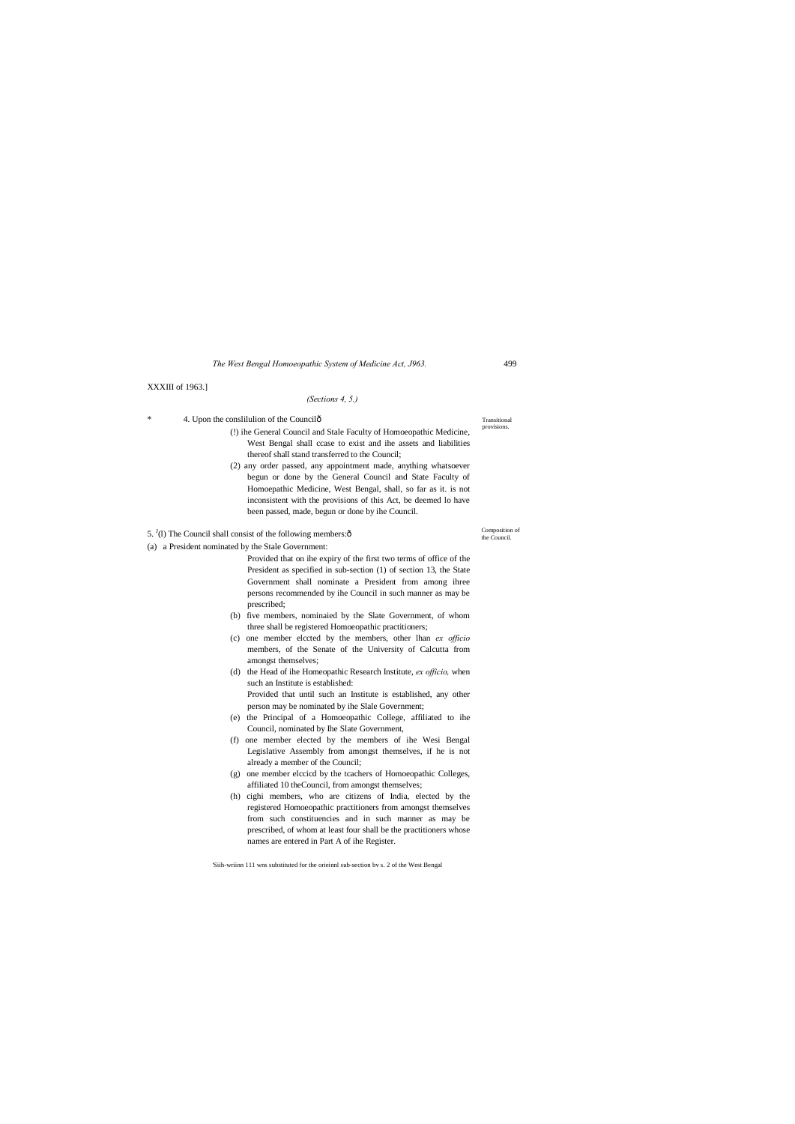### XXXIII of 1963.]

### *(Sections 4, 5.)*

| $\ast$<br>4. Upon the conslilulion of the Councilô                                                                                                                                                                                                                                                                                                                                                                                                                                                                 | Transitional   |
|--------------------------------------------------------------------------------------------------------------------------------------------------------------------------------------------------------------------------------------------------------------------------------------------------------------------------------------------------------------------------------------------------------------------------------------------------------------------------------------------------------------------|----------------|
| (!) ihe General Council and Stale Faculty of Homoeopathic Medicine,<br>West Bengal shall ccase to exist and ihe assets and liabilities<br>thereof shall stand transferred to the Council;<br>(2) any order passed, any appointment made, anything whatsoever<br>begun or done by the General Council and State Faculty of<br>Homoepathic Medicine, West Bengal, shall, so far as it. is not<br>inconsistent with the provisions of this Act, be deemed lo have<br>been passed, made, begun or done by ihe Council. | provisions.    |
| 5. $(1)$ The Council shall consist of the following members: $\hat{o}$                                                                                                                                                                                                                                                                                                                                                                                                                                             | Composition of |
|                                                                                                                                                                                                                                                                                                                                                                                                                                                                                                                    | the Council.   |
| (a) a President nominated by the Stale Government:                                                                                                                                                                                                                                                                                                                                                                                                                                                                 |                |
| Provided that on ihe expiry of the first two terms of office of the                                                                                                                                                                                                                                                                                                                                                                                                                                                |                |
| President as specified in sub-section (1) of section 13, the State                                                                                                                                                                                                                                                                                                                                                                                                                                                 |                |
| Government shall nominate a President from among ihree                                                                                                                                                                                                                                                                                                                                                                                                                                                             |                |
| persons recommended by the Council in such manner as may be<br>prescribed;                                                                                                                                                                                                                                                                                                                                                                                                                                         |                |
| (b) five members, nominaied by the Slate Government, of whom                                                                                                                                                                                                                                                                                                                                                                                                                                                       |                |
| three shall be registered Homoeopathic practitioners;                                                                                                                                                                                                                                                                                                                                                                                                                                                              |                |
| (c) one member elected by the members, other lhan ex officio                                                                                                                                                                                                                                                                                                                                                                                                                                                       |                |
| members, of the Senate of the University of Calcutta from                                                                                                                                                                                                                                                                                                                                                                                                                                                          |                |
| amongst themselves;                                                                                                                                                                                                                                                                                                                                                                                                                                                                                                |                |
| (d) the Head of ihe Homeopathic Research Institute, ex officio, when                                                                                                                                                                                                                                                                                                                                                                                                                                               |                |
| such an Institute is established:                                                                                                                                                                                                                                                                                                                                                                                                                                                                                  |                |
| Provided that until such an Institute is established, any other                                                                                                                                                                                                                                                                                                                                                                                                                                                    |                |
| person may be nominated by ihe Slale Government;                                                                                                                                                                                                                                                                                                                                                                                                                                                                   |                |
| (e) the Principal of a Homoeopathic College, affiliated to ihe                                                                                                                                                                                                                                                                                                                                                                                                                                                     |                |
| Council, nominated by Ihe Slate Government,                                                                                                                                                                                                                                                                                                                                                                                                                                                                        |                |
| (f) one member elected by the members of ihe Wesi Bengal                                                                                                                                                                                                                                                                                                                                                                                                                                                           |                |
| Legislative Assembly from amongst themselves, if he is not                                                                                                                                                                                                                                                                                                                                                                                                                                                         |                |
| already a member of the Council;                                                                                                                                                                                                                                                                                                                                                                                                                                                                                   |                |
| (g) one member elccicd by the tcachers of Homoeopathic Colleges,                                                                                                                                                                                                                                                                                                                                                                                                                                                   |                |
| affiliated 10 the Council, from amongst themselves;                                                                                                                                                                                                                                                                                                                                                                                                                                                                |                |
| (h) cighi members, who are citizens of India, elected by the                                                                                                                                                                                                                                                                                                                                                                                                                                                       |                |
| registered Homoeopathic practitioners from amongst themselves                                                                                                                                                                                                                                                                                                                                                                                                                                                      |                |
| from such constituencies and in such manner as may be                                                                                                                                                                                                                                                                                                                                                                                                                                                              |                |
| prescribed, of whom at least four shall be the practitioners whose                                                                                                                                                                                                                                                                                                                                                                                                                                                 |                |

names are entered in Part A of ihe Register.

'Siih-wriinn 111 wns substituted for the orieinnl sub-section bv s. 2 of the West Bengal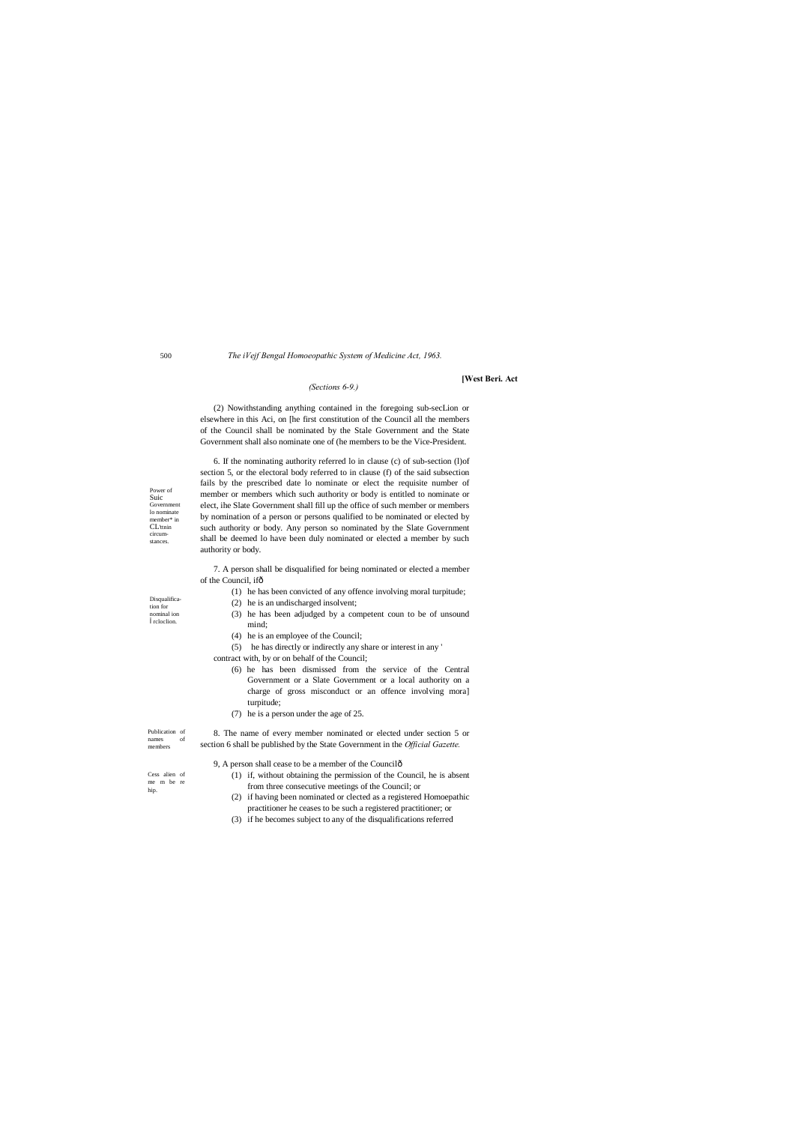Publication of names of members

Cess alien of me m be re hip.

9, A person shall cease to be a member of the Councilô

Power of Suic Government lo nominate member\* in CL'<sub>ttnin</sub> circumstances.

Disqualification for nominal ion rcloclion.

*The iVejf Bengal Homoeopathic System of Medicine Act, 1963.*

### **[West Beri. Act**

#### *(Sections 6-9.)*

(2) Nowithstanding anything contained in the foregoing sub-secLion or elsewhere in this Aci, on [he first constitution of the Council all the members of the Council shall be nominated by the Stale Government and the State Government shall also nominate one of (he members to be the Vice-President.

6. If the nominating authority referred lo in clause (c) of sub-section (l)of section 5, or the electoral body referred to in clause (f) of the said subsection fails by the prescribed date lo nominate or elect the requisite number of member or members which such authority or body is entitled to nominate or elect, ihe Slate Government shall fill up the office of such member or members by nomination of a person or persons qualified to be nominated or elected by such authority or body. Any person so nominated by the Slate Government shall be deemed lo have been duly nominated or elected a member by such authority or body.

7. A person shall be disqualified for being nominated or elected a member of the Council, if—

- (1) he has been convicted of any offence involving moral turpitude;
- (2) he is an undischarged insolvent;
- (3) he has been adjudged by a competent coun to be of unsound mind;
- (4) he is an employee of the Council;
- (5) he has directly or indirectly any share or interest in any '

contract with, by or on behalf of the Council;

- (6) he has been dismissed from the service of the Central Government or a Slate Government or a local authority on a charge of gross misconduct or an offence involving mora] turpitude;
- (7) he is a person under the age of 25.

8. The name of every member nominated or elected under section 5 or section 6 shall be published by the State Government in the *Official Gazette.*

> (1) if, without obtaining the permission of the Council, he is absent from three consecutive meetings of the Council; or

- (2) if having been nominated or clected as a registered Homoepathic practitioner he ceases to be such a registered practitioner; or
- (3) if he becomes subject to any of the disqualifications referred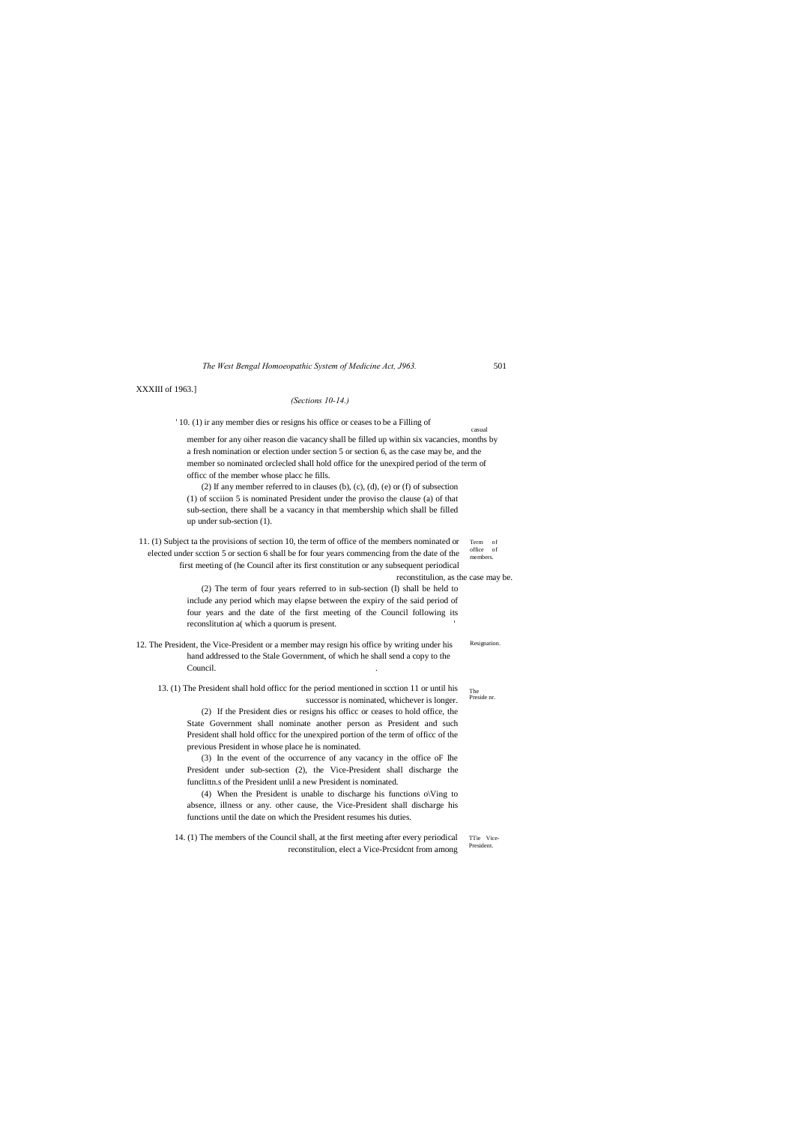Resignation. 12. The President, the Vice-President or a member may resign his office by writing under his hand addressed to the Stale Government, of which he shall send a copy to the Council.

The Preside nr.

*The West Bengal Homoeopathic System of Medicine Act, J963.* 501

### XXXIII of 1963.]

#### *(Sections 10-14.)*

' 10. (1) ir any member dies or resigns his office or ceases to be a Filling of casual member for any oiher reason die vacancy shall be filled up within six vacancies, months by a fresh nomination or election under section 5 or section 6, as the case may be, and the member so nominated orclecled shall hold office for the unexpired period of the term of

Term of<br>office of office of members. 11. (1) Subject ta the provisions of section 10, the term of office of the members nominated or elected under scction 5 or section 6 shall be for four years commencing from the date of the first meeting of (he Council after its first constitution or any subsequent periodical reconstitulion, as the case may be.

officc of the member whose placc he fills. (2) If any member referred to in clauses (b), (c), (d), (e) or (f) of subsection (1) of scciion 5 is nominated President under the proviso the clause (a) of that sub-section, there shall be a vacancy in that membership which shall be filled up under sub-section (1).

14. (1) The members of the Council shall, at the first meeting after every periodical TTie Vice-President. reconstitulion, elect a Vice-Prcsidcnt from among

(2) The term of four years referred to in sub-section (I) shall be held to include any period which may elapse between the expiry of the said period of four years and the date of the first meeting of the Council following its reconslitution a( which a quorum is present. '

13. (1) The President shall hold officc for the period mentioned in scction 11 or until his successor is nominated, whichever is longer.

(2) If the President dies or resigns his officc or ceases to hold office, the State Government shall nominate another person as President and such President shall hold officc for the unexpired portion of the term of officc of the previous President in whose place he is nominated.

(3) In the event of the occurrence of any vacancy in the office oF Ihe President under sub-section (2), the Vice-President shall discharge the funclittn.s of the President unlil a new President is nominated.

(4) When the President is unable to discharge his functions o\Ving to absence, illness or any. other cause, the Vice-President shall discharge his functions until the date on which the President resumes his duties.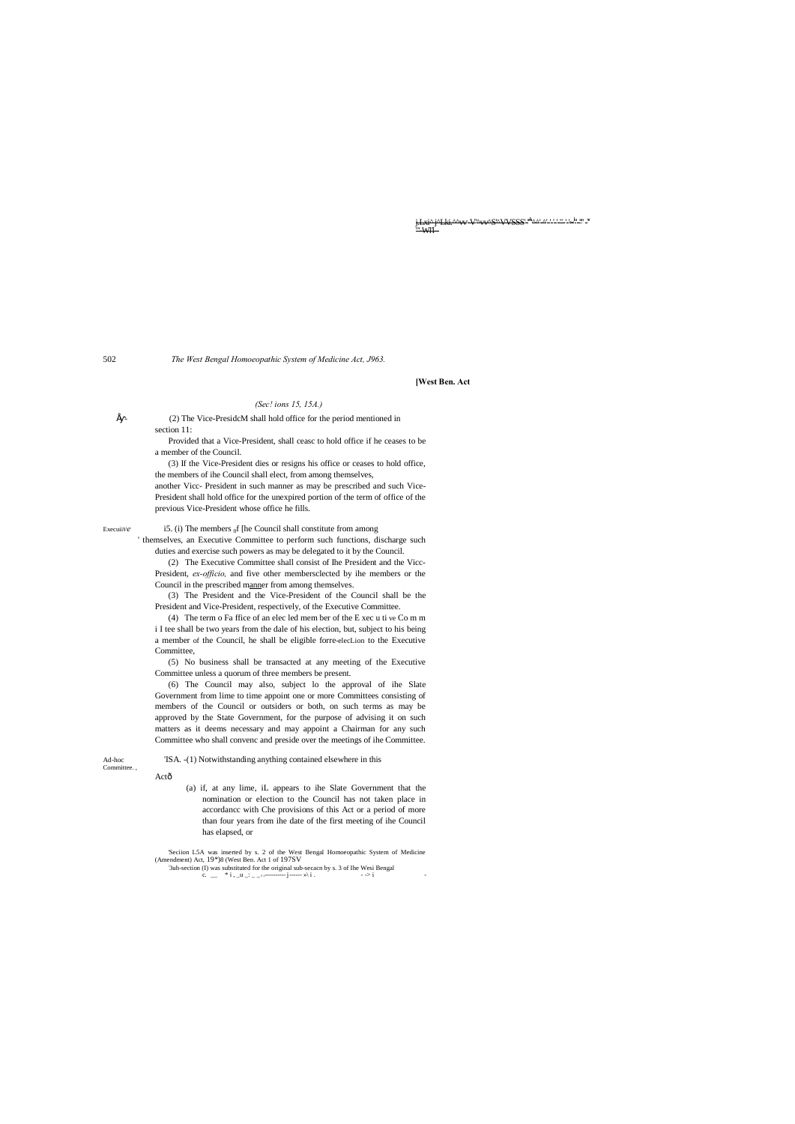j.Lxi<mark>^ j^Lki.^^vv</mark> `Y'∆<sub>VV</sub>^S'^VVSSS'-'<sup>A</sup>^^'^'-'-'-'-'-'-<sup>l</sup>"\_'" -<sup>v</sup> <u>"' WII - </u>

502 *The West Bengal Homoeopathic System of Medicine Act, J963.*

 $\acute{E}$  - (2) The Vice-PresidcM shall hold office for the period mentioned in section 11:

#### **[West Ben. Act**

### *(Sec! ions 15, 15A.)*

Provided that a Vice-President, shall ceasc to hold office if he ceases to be a member of the Council.

(3) If the Vice-President dies or resigns his office or ceases to hold office, the members of ihe Council shall elect, from among themselves, another Vicc- President in such manner as may be prescribed and such Vice-President shall hold office for the unexpired portion of the term of office of the previous Vice-President whose office he fills.

Execuiive i5. (i) The members  $_0$ f [he Council shall constitute from among

' themselves, an Executive Committee to perform such functions, discharge such duties and exercise such powers as may be delegated to it by the Council.

(2) The Executive Committee shall consist of Ihe President and the Vicc-President, *ex-officio,* and five other membersclected by ihe members or the Council in the prescribed manner from among themselves.

(3) The President and the Vice-President of the Council shall be the President and Vice-President, respectively, of the Executive Committee.

'Seciion L5A was inserted by s. 2 of the West Bengal Homoeopathic System of Medicine (Amendment) Act,  $19*$ )8 (West Ben. Act 1 of  $197SV$ 

3uh-section (I) was substituted for the original sub-secacn by s. 3 of Ihe Wesi Bengal c.  $\begin{array}{c} \n\therefore \quad \text{if} \quad x \cdot y = -x \cdot y \cdot y = -x \cdot y \cdot y = -x \cdot y \cdot y = -x \cdot y = -x \cdot y = -x \cdot y = -x \cdot y = -x \cdot y = -x \cdot y = -x \cdot y = -x \cdot y = -x \cdot y = -x \cdot y = -x \cdot y = -x \cdot y = -x \cdot y$ c.  $\frac{1}{2}$   $\frac{1}{2}$   $\frac{1}{2}$   $\frac{1}{2}$   $\frac{1}{2}$   $\frac{1}{2}$   $\frac{1}{2}$   $\frac{1}{2}$   $\frac{1}{2}$   $\frac{1}{2}$   $\frac{1}{2}$   $\frac{1}{2}$   $\frac{1}{2}$   $\frac{1}{2}$   $\frac{1}{2}$   $\frac{1}{2}$   $\frac{1}{2}$   $\frac{1}{2}$   $\frac{1}{2}$   $\frac{1}{2}$   $\frac{1}{2}$   $\frac{1}{2}$ 

(4) The term o Fa ffice of an elec led mem ber of the E xec u ti ve Co m m i I tee shall be two years from the dale of his election, but, subject to his being a member of the Council, he shall be eligible forre-elecLion to the Executive Committee,

(5) No business shall be transacted at any meeting of the Executive Committee unless a quorum of three members be present.

(6) The Council may also, subject lo the approval of ihe Slate Government from lime to time appoint one or more Committees consisting of members of the Council or outsiders or both, on such terms as may be approved by the State Government, for the purpose of advising it on such matters as it deems necessary and may appoint a Chairman for any such Committee who shall convenc and preside over the meetings of ihe Committee.

Ad-hoc 'ISA. -(1) Notwithstanding anything contained elsewhere in this

Committee.

Actô

(a) if, at any lime, iL appears to ihe Slate Government that the nomination or election to the Council has not taken place in accordancc with Che provisions of this Act or a period of more than four years from ihe date of the first meeting of ihe Council has elapsed, or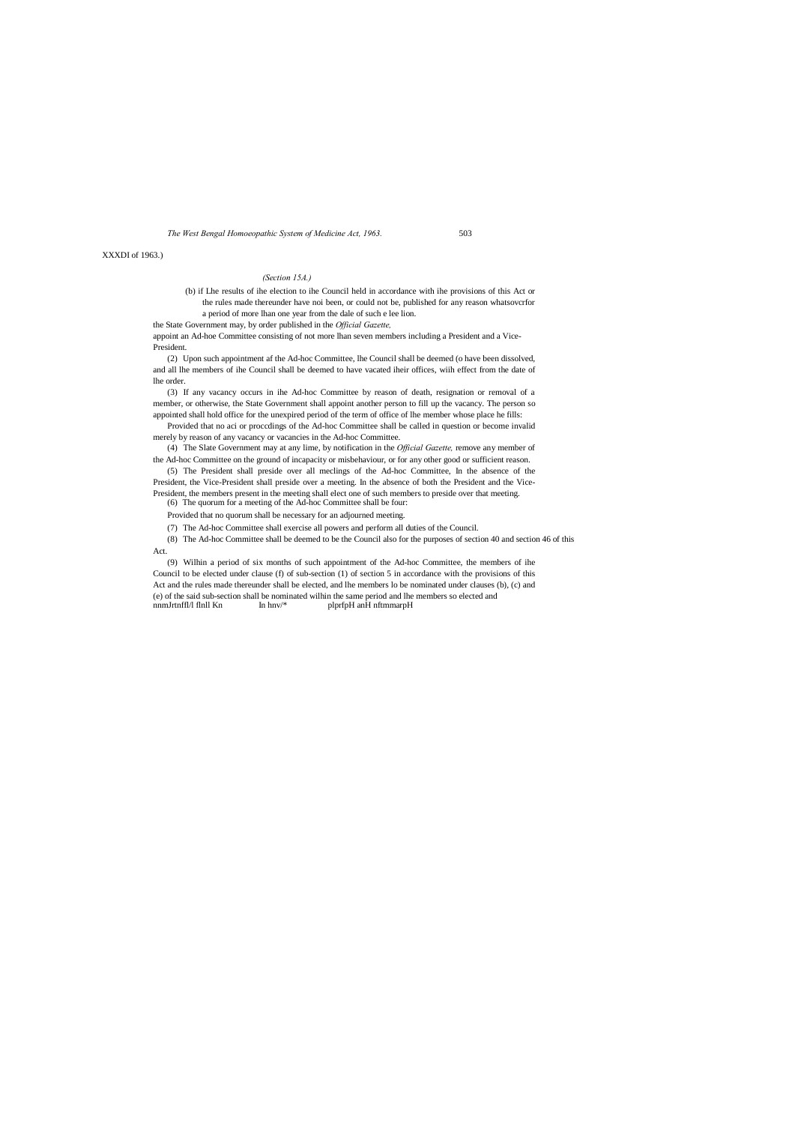#### XXXDI of 1963.)

#### *(Section 15A.)*

(b) if Lhe results of ihe election to ihe Council held in accordance with ihe provisions of this Act or the rules made thereunder have noi been, or could not be, published for any reason whatsovcrfor a period of more lhan one year from the dale of such e lee lion.

the State Government may, by order published in the *Official Gazette,*

appoint an Ad-hoe Committee consisting of not more lhan seven members including a President and a Vice-President.

(2) Upon such appointment af the Ad-hoc Committee, lhe Council shall be deemed (o have been dissolved, and all lhe members of ihe Council shall be deemed to have vacated iheir offices, wiih effect from the date of lhe order.

(3) If any vacancy occurs in ihe Ad-hoc Committee by reason of death, resignation or removal of a member, or otherwise, the State Government shall appoint another person to fill up the vacancy. The person so appointed shall hold office for the unexpired period of the term of office of lhe member whose place he fills:

(9) Wilhin a period of six months of such appointment of the Ad-hoc Committee, the members of ihe Council to be elected under clause (f) of sub-section (1) of section 5 in accordance with the provisions of this Act and the rules made thereunder shall be elected, and lhe members lo be nominated under clauses (b), (c) and (e) of the said sub-section shall be nominated will the same period and lhe members so elected and nominated  $\mu$  hav/\* performant performant performant performant performant performant performant performant performance o plprfpH anH nftmmarpH

Provided that no aci or proccdings of the Ad-hoc Committee shall be called in question or become invalid merely by reason of any vacancy or vacancies in the Ad-hoc Committee.

(4) The Slate Government may at any lime, by notification in the *Official Gazette,* remove any member of the Ad-hoc Committee on the ground of incapacity or misbehaviour, or for any other good or sufficient reason.

(5) The President shall preside over all meclings of the Ad-hoc Committee, In the absence of the President, the Vice-President shall preside over a meeting. In the absence of both the President and the Vice-President, the members present in the meeting shall elect one of such members to preside over that meeting.

(6) The quorum for a meeting of the Ad-hoc Committee shall be four:

Provided that no quorum shall be necessary for an adjourned meeting.

(7) The Ad-hoc Committee shall exercise all powers and perform all duties of the Council.

(8) The Ad-hoc Committee shall be deemed to be the Council also for the purposes of section 40 and section 46 of this Act.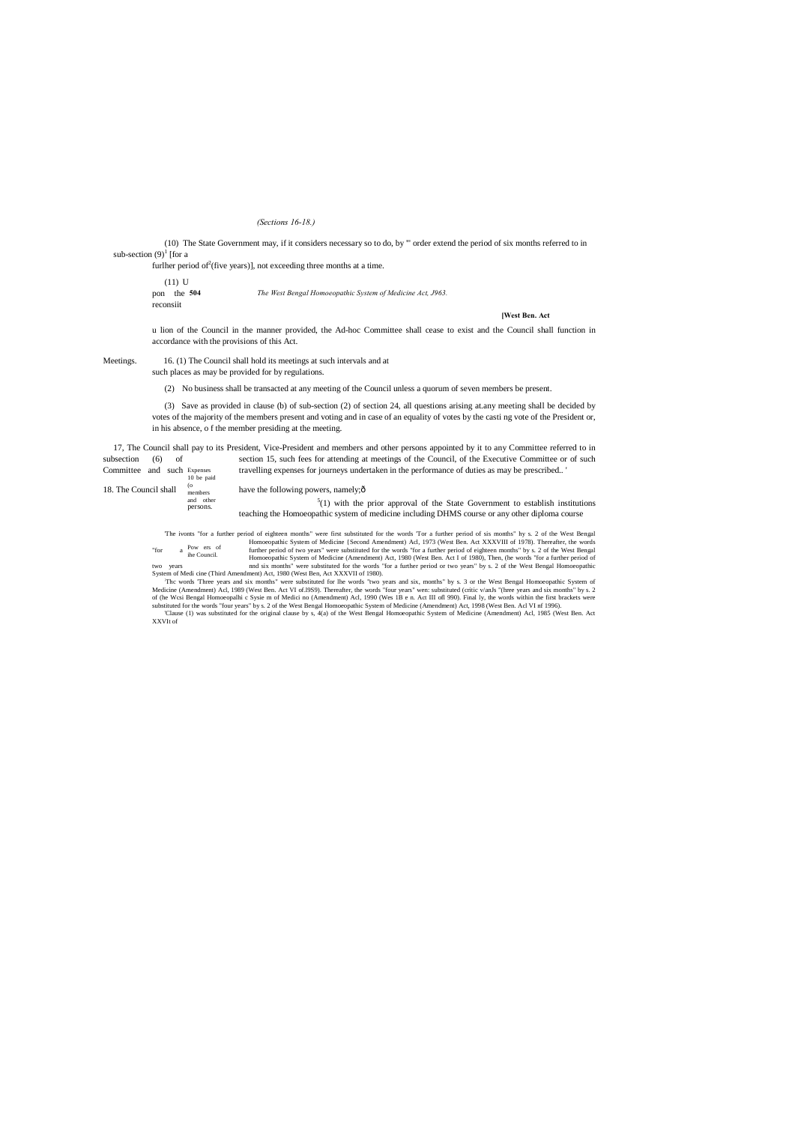(10) The State Government may, if it considers necessary so to do, by '" order extend the period of six months referred to in sub-section  $(9)^1$  [for a

furlher period of  $2$ (five years)], not exceeding three months at a time.

#### **[West Ben. Act**

#### *(Sections 16-18.)*

**504** *The West Bengal Homoeopathic System of Medicine Act, J963.* pon the 504 reconsiit

#### (11) U

u lion of the Council in the manner provided, the Ad-hoc Committee shall cease to exist and the Council shall function in accordance with the provisions of this Act.

Meetings. 16. (1) The Council shall hold its meetings at such intervals and at such places as may be provided for by regulations.

(2) No business shall be transacted at any meeting of the Council unless a quorum of seven members be present.

|                         |                             | 17, The Council shall pay to its President, Vice-President and members and other persons appointed by it to any Committee referred to in                                              |
|-------------------------|-----------------------------|---------------------------------------------------------------------------------------------------------------------------------------------------------------------------------------|
| subsection<br>of<br>(6) |                             | section 15, such fees for attending at meetings of the Council, of the Executive Committee or of such                                                                                 |
| Committee<br>and        | such Expenses<br>10 be paid | travelling expenses for journeys undertaken in the performance of duties as may be prescribed                                                                                         |
| 18. The Council shall   | (O<br>members               | have the following powers, namely; ô                                                                                                                                                  |
|                         | and other<br>persons.       | $^{5}(1)$ with the prior approval of the State Government to establish institutions<br>teaching the Homoeopathic system of medicine including DHMS course or any other diploma course |

(3) Save as provided in clause (b) of sub-section (2) of section 24, all questions arising at.any meeting shall be decided by votes of the majority of the members present and voting and in case of an equality of votes by the casti ng vote of the President or, in his absence, o f the member presiding at the meeting.

Pow ers of ihe Council. Homoeopathic System of Medicine {Second Amendment) Acl, 1973 (West Ben. Act XXXVIII of 1978). Thereafter, the words "for a rest of further period of two years" were substituted for the words "for a further period of eighteen months" by s. 2 of the West Bengal Homoeopathic System of Medicine (Amendment) Act, 1980 (West Ben. Act I of 1980), Then, (he words "for a further period of two years nnd six months" were substituted for the words "for a further period or two years" by s. 2 of the West Bengal Homoeopathic

'The ivonts "for a further period of eighteen months" were first substituted for the words 'Tor a further period of sis months" hy s. 2 of the West Bengal

System of Medi cine (Third Amendment) Act, 1980 (West Ben, Act XXXVII of 1980). Thc words Three years and six months" were substituted for lhe words "two years and six, months" by s. 3 or the West Bengal Homoeopathic System of Medicine (Amendment) Acl, 1989 (West Ben. Act VI of.l9S9). Thereafter, the words "four years" wen: substituted (critic v/anJs "(hree years and six months" by s. 2 of (he Wcsi Bengal Homoeopalhi c Sysie m of Medici no (Amendment) Acl, 1990 (Wes 1B e n. Act III ofl 990). Final ly, the words within the first brackets were substituted for the words "four years" by s. 2 of the West Bengal Homoeopathic System of Medicine (Amendment) Act, 1998 (West Ben. Acl VI nf 1996).

'Clause (1) was substituted for the original clause by s, 4(a) of the West Bengal Homoeopathic System of Medicine (Amendment) Acl, 1985 (West Ben. Act XXVIt of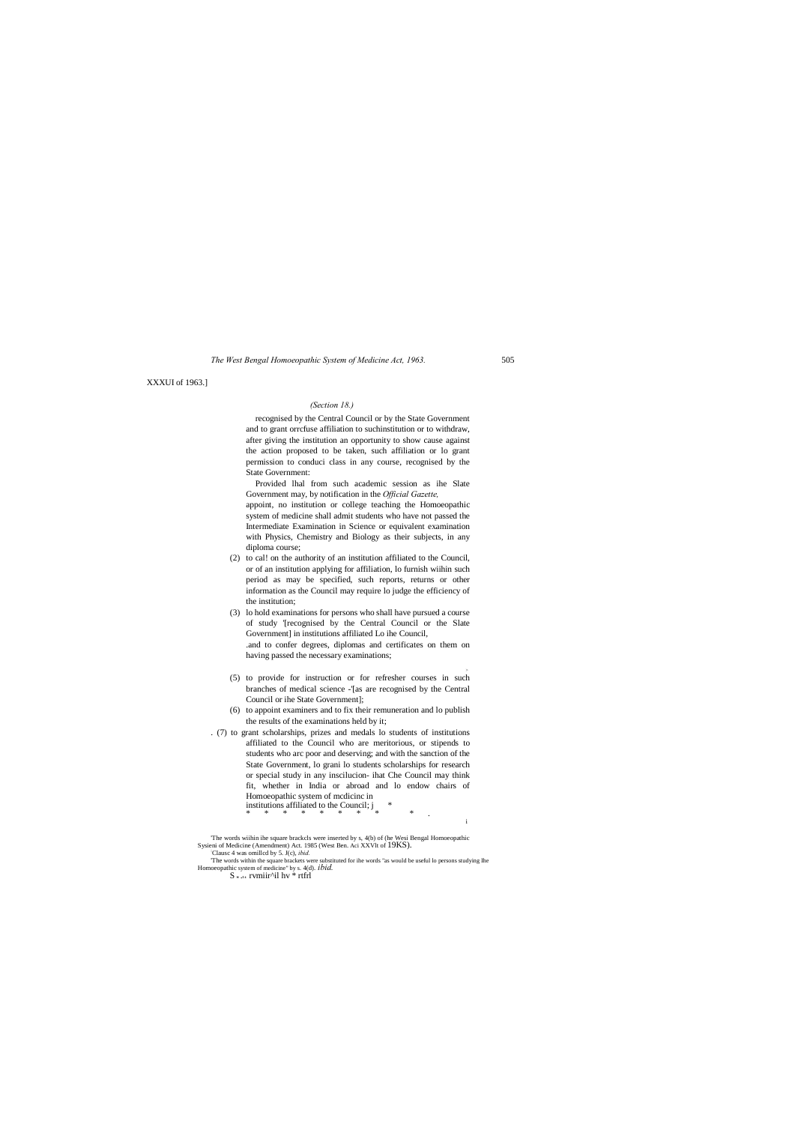XXXUI of 1963.]

### *(Section 18.)*

recognised by the Central Council or by the State Government and to grant orrcfuse affiliation to suchinstitution or to withdraw, after giving the institution an opportunity to show cause against the action proposed to be taken, such affiliation or lo grant permission to conduci class in any course, recognised by the State Government:

Provided lhal from such academic session as ihe Slate Government may, by notification in the *Official Gazette,*

appoint, no institution or college teaching the Homoeopathic system of medicine shall admit students who have not passed the Intermediate Examination in Science or equivalent examination with Physics, Chemistry and Biology as their subjects, in any diploma course;

>

- (2) to cal! on the authority of an institution affiliated to the Council, or of an institution applying for affiliation, lo furnish wiihin such period as may be specified, such reports, returns or other information as the Council may require lo judge the efficiency of the institution;
- (3) lo hold examinations for persons who shall have pursued a course of study '[recognised by the Central Council or the Slate Government] in institutions affiliated Lo ihe Council, .and to confer degrees, diplomas and certificates on them on having passed the necessary examinations;
- (5) to provide for instruction or for refresher courses in such branches of medical science -'[as are recognised by the Central Council or ihe State Government];
- (6) to appoint examiners and to fix their remuneration and lo publish the results of the examinations held by it;
- . (7) to grant scholarships, prizes and medals lo students of institutions affiliated to the Council who are meritorious, or stipends to students who arc poor and deserving; and with the sanction of the State Government, lo grani lo students scholarships for research or special study in any inscilucion- ihat Che Council may think fit, whether in India or abroad and lo endow chairs of Homoeopathic system of mcdicinc in institutions affiliated to the Council; j \* \* \* \* \* \* \* \* \* \* .

i

Clausc 4 was omillcd by 5. J(c), *ibid.* 'The words within the square brackets were substituted for ihe words "as would be useful lo persons studying Ihe Homoeopathic system of medicine" by s. 4(d). *ibid.* S **<sup>w</sup>** .**t s** rvmiir^il hv \* rtfrl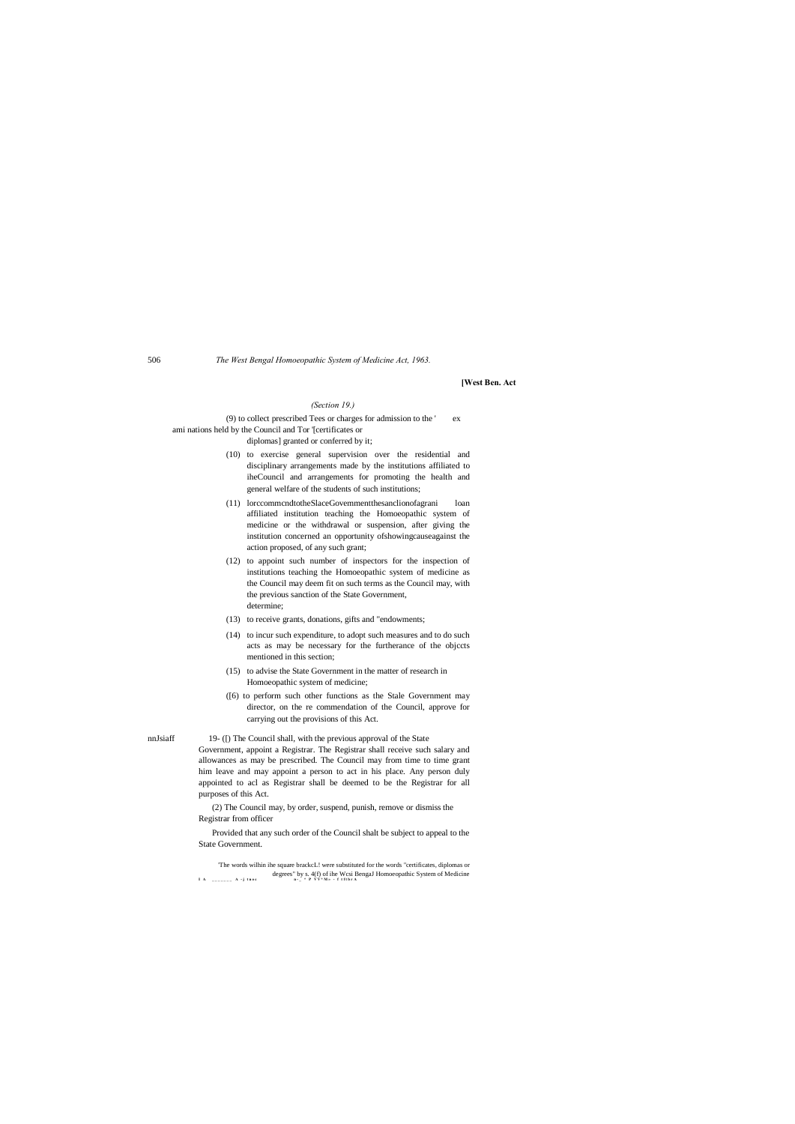#### **[West Ben. Act**

#### *(Section 19.)*

## (9) to collect prescribed Tees or charges for admission to the ' ex ami nations held by the Council and Tor '[certificates or

diplomas] granted or conferred by it;

- (10) to exercise general supervision over the residential and disciplinary arrangements made by the institutions affiliated to iheCouncil and arrangements for promoting the health and general welfare of the students of such institutions;
- (11) lorccommcndtotheSlaceGovemmentthesanclionofagrani loan affiliated institution teaching the Homoeopathic system of medicine or the withdrawal or suspension, after giving the institution concerned an opportunity ofshowingcauseagainst the action proposed, of any such grant;
- (12) to appoint such number of inspectors for the inspection of institutions teaching the Homoeopathic system of medicine as the Council may deem fit on such terms as the Council may, with the previous sanction of the State Government, determine;
- (13) to receive grants, donations, gifts and "endowments;
- (14) to incur such expenditure, to adopt such measures and to do such acts as may be necessary for the furtherance of the objccts mentioned in this section;
- (15) to advise the State Government in the matter of research in Homoeopathic system of medicine;
- ([6) to perform such other functions as the Stale Government may director, on the re commendation of the Council, approve for carrying out the provisions of this Act.

nnJsiaff 19- ([) The Council shall, with the previous approval of the State Government, appoint a Registrar. The Registrar shall receive such salary and allowances as may be prescribed. The Council may from time to time grant him leave and may appoint a person to act in his place. Any person duly appointed to acl as Registrar shall be deemed to be the Registrar for all purposes of this Act.

> (2) The Council may, by order, suspend, punish, remove or dismiss the Registrar from officer

Provided that any such order of the Council shalt be subject to appeal to the State Government.

'The words wilhin ihe square brackcL! were substituted for the words "certificates, diplomas or

degrees" by s. 4(f) of ihe Wcsi BengaJ Homoeopathic System of Medicine **I A \_ \_ \_ \_ \_ \_ \_ A - j t n o c n - \_ \* P V V \* M » - f t f t b r A**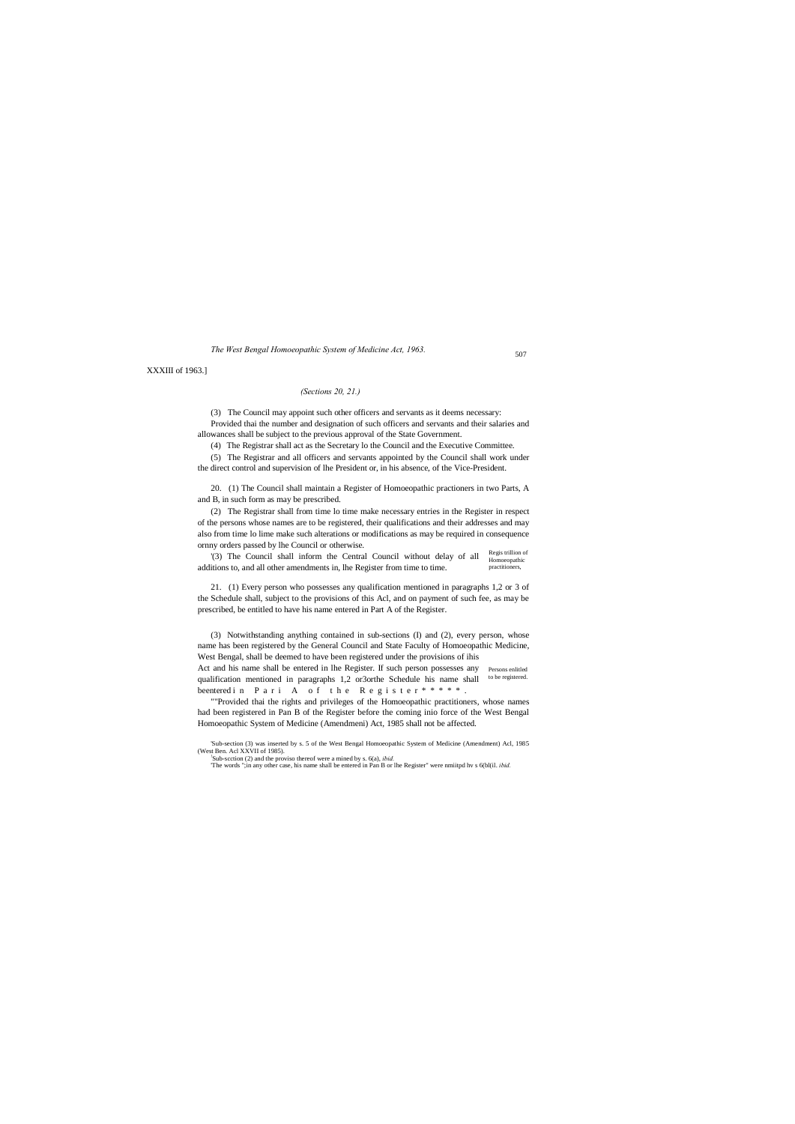*The West Bengal Homoeopathic System of Medicine Act, 1963.*

XXXIII of 1963.]

#### *(Sections 20, 21.)*

(3) The Council may appoint such other officers and servants as it deems necessary: Provided thai the number and designation of such officers and servants and their salaries and allowances shall be subject to the previous approval of the State Government.

(4) The Registrar shall act as the Secretary lo the Council and the Executive Committee.

(5) The Registrar and all officers and servants appointed by the Council shall work under the direct control and supervision of lhe President or, in his absence, of the Vice-President.

(3) The Council shall inform the Central Council without delay of all Regis trillion of practitioners, additions to, and all other amendments in, lhe Register from time to time.

20. (1) The Council shall maintain a Register of Homoeopathic practioners in two Parts, A and B, in such form as may be prescribed.

(2) The Registrar shall from time lo time make necessary entries in the Register in respect of the persons whose names are to be registered, their qualifications and their addresses and may also from time lo lime make such alterations or modifications as may be required in consequence ornny orders passed by lhe Council or otherwise.

'Sub-section (3) was inserted by s. 5 of the West Bengal Homoeopathic System of Medicine (Amendment) Acl, 1985 (West Ben. Acl XXVII of 1985).

21. (1) Every person who possesses any qualification mentioned in paragraphs 1,2 or 3 of the Schedule shall, subject to the provisions of this Acl, and on payment of such fee, as may be prescribed, be entitled to have his name entered in Part A of the Register.

(3) Notwithstanding anything contained in sub-sections (I) and (2), every person, whose name has been registered by the General Council and State Faculty of Homoeopathic Medicine, West Bengal, shall be deemed to have been registered under the provisions of ihis

Act and his name shall be entered in lhe Register. If such person possesses any Persons enlitled qualification mentioned in paragraphs 1,2 or3orthe Schedule his name shall to be registered. beentered in Pari A of the Register \*\*\*\*\*.

""Provided thai the rights and privileges of the Homoeopathic practitioners, whose names had been registered in Pan B of the Register before the coming inio force of the West Bengal Homoeopathic System of Medicine (Amendmeni) Act, 1985 shall not be affected.

Sub-scction (2) and the proviso thereof were a mined by s. 6(a), *ibid.* 'The words ";in any other case, his name shall be entered in Pan B or lhe Register" were nmiitpd hv s 6(bl(il. *ibid.*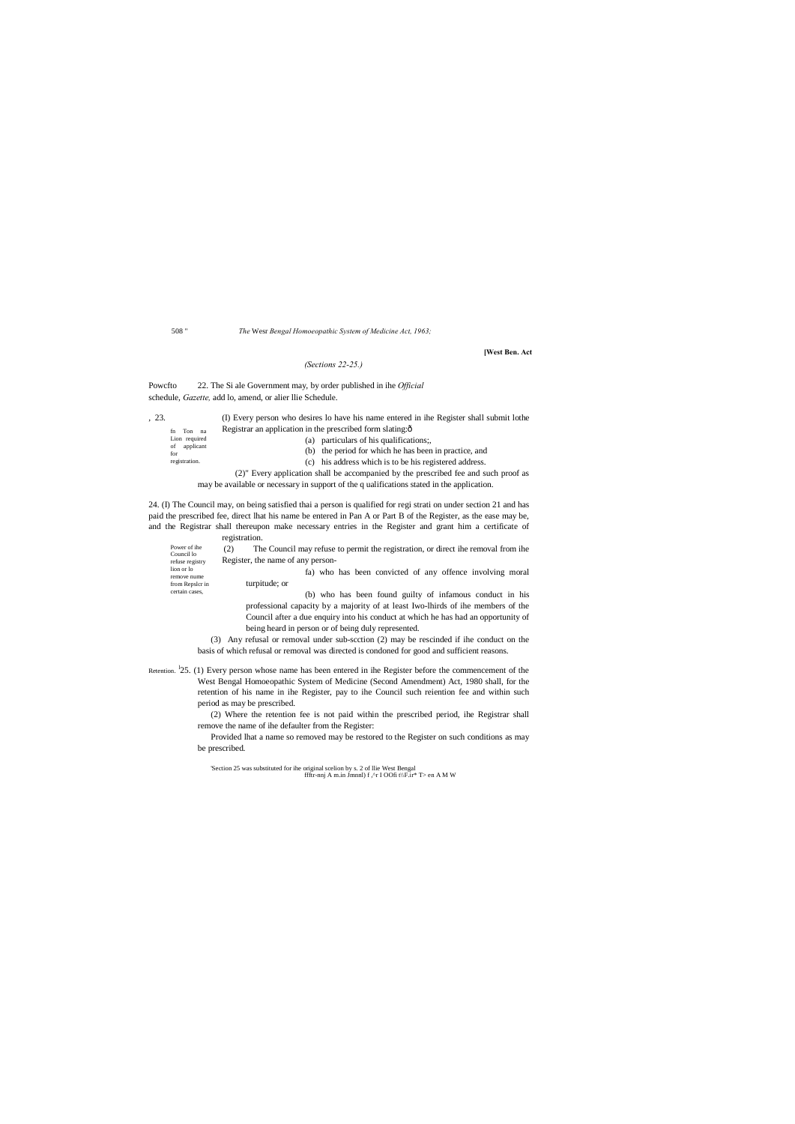**[West Ben. Act**

### *(Sections 22-25.)*

Powcfto 22. The Si ale Government may, by order published in ihe *Official* schedule, *Gazette,* add lo, amend, or alier llie Schedule.

| . 23. |                     | (I) Every person who desires lo have his name entered in ihe Register shall submit lothe |  |
|-------|---------------------|------------------------------------------------------------------------------------------|--|
|       | Ton na<br>fn        | Registrar an application in the prescribed form slating: $\hat{o}$                       |  |
|       | Lion required       | (a) particulars of his qualifications:                                                   |  |
|       | of applicant<br>for | (b) the period for which he has been in practice, and                                    |  |
|       | registration.       | (c) his address which is to be his registered address.                                   |  |
|       |                     | (2)" Every application shall be accompanied by the prescribed fee and such proof as      |  |

may be available or necessary in support of the q ualifications stated in the application.

| Power of ihe<br>Council lo<br>refuse registry | The Council may refuse to permit the registration, or direct ihe removal from the<br>(2)<br>Register, the name of any person-                |
|-----------------------------------------------|----------------------------------------------------------------------------------------------------------------------------------------------|
| lion or lo<br>remove nume<br>from Repslcr in  | fa) who has been convicted of any offence involving moral<br>turpitude; or                                                                   |
| certain cases,                                | (b) who has been found guilty of infamous conduct in his<br>professional capacity by a majority of at least Iwo-lhirds of the members of the |
|                                               | Council after a due enquiry into his conduct at which he has had an opportunity of<br>being heard in person or of being duly represented.    |

24. (I) The Council may, on being satisfied thai a person is qualified for regi strati on under section 21 and has paid the prescribed fee, direct lhat his name be entered in Pan A or Part B of the Register, as the ease may be, and the Registrar shall thereupon make necessary entries in the Register and grant him a certificate of registration.

Retention. <sup>1</sup>25. (1) Every person whose name has been entered in ihe Register before the commencement of the West Bengal Homoeopathic System of Medicine (Second Amendment) Act, 1980 shall, for the retention of his name in ihe Register, pay to ihe Council such reiention fee and within such period as may be prescribed.

(3) Any refusal or removal under sub-scction (2) may be rescinded if ihe conduct on the basis of which refusal or removal was directed is condoned for good and sufficient reasons.

(2) Where the retention fee is not paid within the prescribed period, ihe Registrar shall remove the name of ihe defaulter from the Register:

Provided lhat a name so removed may be restored to the Register on such conditions as may be prescribed.

Section 25 was substituted for ihe original scelion by s. 2 of llie West Bengal<br>ffftr-nnj A m.in Jmnnl) f ,^r I OOfi t\\F.ir\* T> en A M W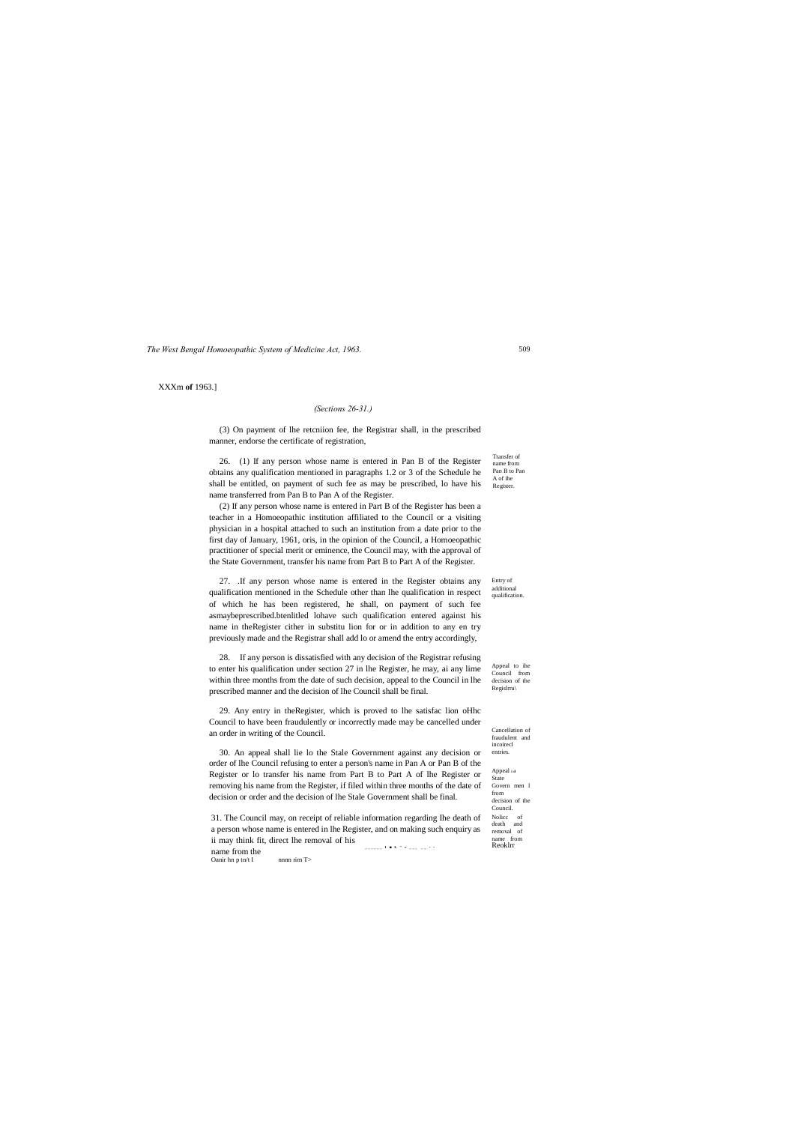Transfer of name from Pan B to Pan A of ihe Register.

additional qualification.

Appeal to ihe Council from decision of the Regislrru\

Cancellation of fraudulent and incoirecl

entries. Appeal **i d**  State Govern men l from decision of the Council. Nolicc of<br>death and and removal of name from **\_ \_ \_ \_ \_ \_ <sup>1</sup>■ L ^ « \_ \_ \_ \_ \_ - -** Reoklrr

*The West Bengal Homoeopathic System of Medicine Act, 1963.*

#### XXXm **of** 1963.]

#### *(Sections 26-31.)*

(3) On payment of lhe retcniion fee, the Registrar shall, in the prescribed manner, endorse the certificate of registration,

26. (1) If any person whose name is entered in Pan B of the Register obtains any qualification mentioned in paragraphs 1.2 or 3 of the Schedule he shall be entitled, on payment of such fee as may be prescribed, lo have his name transferred from Pan B to Pan A of the Register.

Entry of 27. .If any person whose name is entered in the Register obtains any qualification mentioned in the Schedule other than lhe qualification in respect of which he has been registered, he shall, on payment of such fee asmaybeprescribed.btenlitled lohave such qualification entered against his name in theRegister cither in substitu lion for or in addition to any en try previously made and the Registrar shall add lo or amend the entry accordingly,

(2) If any person whose name is entered in Part B of the Register has been a teacher in a Homoeopathic institution affiliated to the Council or a visiting physician in a hospital attached to such an institution from a date prior to the first day of January, 1961, oris, in the opinion of the Council, a Homoeopathic practitioner of special merit or eminence, the Council may, with the approval of the State Government, transfer his name from Part B to Part A of the Register.

name from the Oanir hn p tn/t I nnnn rim T>

28. If any person is dissatisfied with any decision of the Registrar refusing to enter his qualification under section 27 in lhe Register, he may, ai any lime within three months from the date of such decision, appeal to the Council in lhe prescribed manner and the decision of lhe Council shall be final.

29. Any entry in theRegister, which is proved to lhe satisfac lion oHhc Council to have been fraudulently or incorrectly made may be cancelled under an order in writing of the Council.

30. An appeal shall lie lo the Stale Government against any decision or order of lhe Council refusing to enter a person's name in Pan A or Pan B of the Register or lo transfer his name from Part B to Part A of lhe Register or removing his name from the Register, if filed within three months of the date of decision or order and the decision of lhe Stale Government shall be final.

31. The Council may, on receipt of reliable information regarding Ihe death of a person whose name is entered in lhe Register, and on making such enquiry as ii may think fit, direct lhe removal of his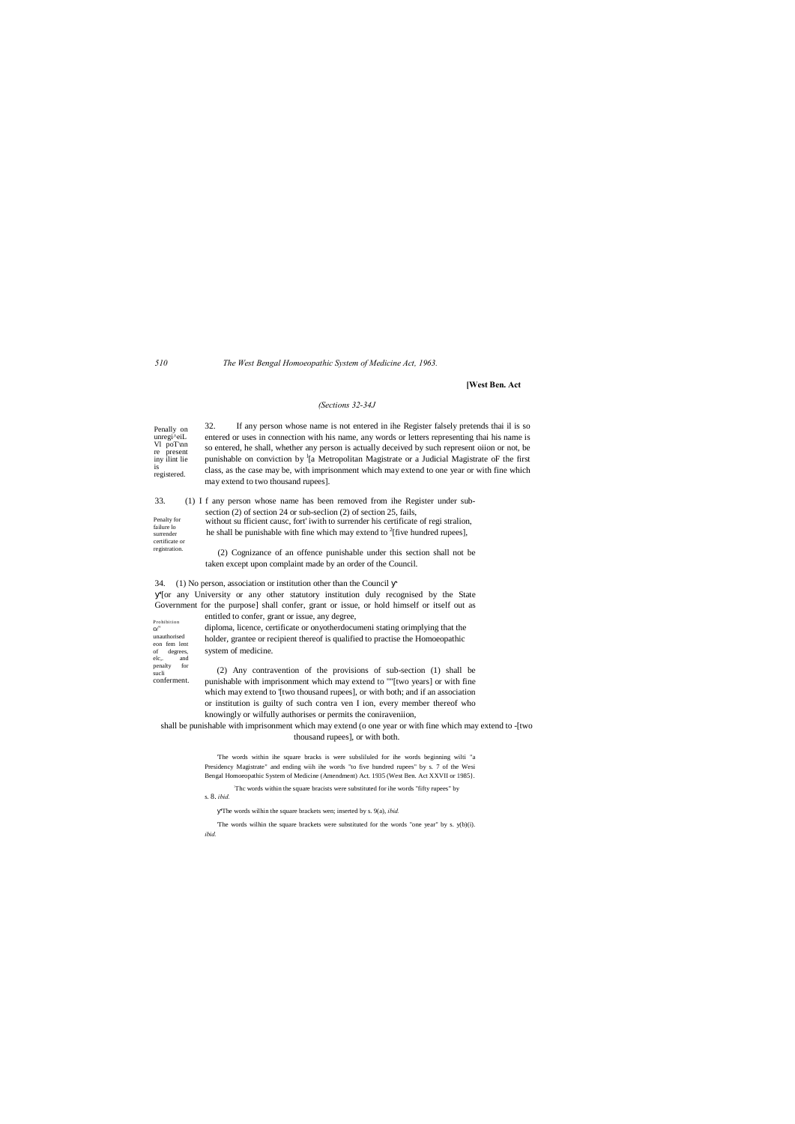### **[West Ben. Act**

### *(Sections 32-34J*

| Penally on                                                                                                                                     | 32.                                                                                                                                                                                                                                                                                                                                                                                                                                                                                                                                                                                                                                                                                                                                                                                                                                                                                                                                                                                                                                          |
|------------------------------------------------------------------------------------------------------------------------------------------------|----------------------------------------------------------------------------------------------------------------------------------------------------------------------------------------------------------------------------------------------------------------------------------------------------------------------------------------------------------------------------------------------------------------------------------------------------------------------------------------------------------------------------------------------------------------------------------------------------------------------------------------------------------------------------------------------------------------------------------------------------------------------------------------------------------------------------------------------------------------------------------------------------------------------------------------------------------------------------------------------------------------------------------------------|
| unregi^eiL                                                                                                                                     | If any person whose name is not entered in ihe Register falsely pretends thai il is so                                                                                                                                                                                                                                                                                                                                                                                                                                                                                                                                                                                                                                                                                                                                                                                                                                                                                                                                                       |
| $V1$ poT\nn                                                                                                                                    | entered or uses in connection with his name, any words or letters representing thai his name is                                                                                                                                                                                                                                                                                                                                                                                                                                                                                                                                                                                                                                                                                                                                                                                                                                                                                                                                              |
| re present                                                                                                                                     | so entered, he shall, whether any person is actually deceived by such represent oiion or not, be                                                                                                                                                                                                                                                                                                                                                                                                                                                                                                                                                                                                                                                                                                                                                                                                                                                                                                                                             |
| iny ilint lie                                                                                                                                  | punishable on conviction by <sup>1</sup> [a Metropolitan Magistrate or a Judicial Magistrate oF the first                                                                                                                                                                                                                                                                                                                                                                                                                                                                                                                                                                                                                                                                                                                                                                                                                                                                                                                                    |
| is                                                                                                                                             | class, as the case may be, with imprisonment which may extend to one year or with fine which                                                                                                                                                                                                                                                                                                                                                                                                                                                                                                                                                                                                                                                                                                                                                                                                                                                                                                                                                 |
| registered.                                                                                                                                    | may extend to two thousand rupees].                                                                                                                                                                                                                                                                                                                                                                                                                                                                                                                                                                                                                                                                                                                                                                                                                                                                                                                                                                                                          |
| 33.                                                                                                                                            | (1) I f any person whose name has been removed from ihe Register under sub-                                                                                                                                                                                                                                                                                                                                                                                                                                                                                                                                                                                                                                                                                                                                                                                                                                                                                                                                                                  |
| Penalty for                                                                                                                                    | section (2) of section 24 or sub-section (2) of section 25, fails,                                                                                                                                                                                                                                                                                                                                                                                                                                                                                                                                                                                                                                                                                                                                                                                                                                                                                                                                                                           |
| failure lo                                                                                                                                     | without su fficient causc, fort' iwith to surrender his certificate of regi stralion,                                                                                                                                                                                                                                                                                                                                                                                                                                                                                                                                                                                                                                                                                                                                                                                                                                                                                                                                                        |
| surrender                                                                                                                                      | he shall be punishable with fine which may extend to $^{2}$ [five hundred rupees],                                                                                                                                                                                                                                                                                                                                                                                                                                                                                                                                                                                                                                                                                                                                                                                                                                                                                                                                                           |
| certificate or                                                                                                                                 | (2) Cognizance of an offence punishable under this section shall not be                                                                                                                                                                                                                                                                                                                                                                                                                                                                                                                                                                                                                                                                                                                                                                                                                                                                                                                                                                      |
| registration.                                                                                                                                  | taken except upon complaint made by an order of the Council.                                                                                                                                                                                                                                                                                                                                                                                                                                                                                                                                                                                                                                                                                                                                                                                                                                                                                                                                                                                 |
| 34.<br>Prohibition<br>$_{\rm O}/'$<br>unauthorised<br>eon fem lent<br>of<br>degrees,<br>elc,.<br>and<br>penalty<br>for<br>sucli<br>conferment. | (1) No person, association or institution other than the Council<br>'[or any University or any other statutory institution duly recognised by the State<br>Government for the purpose] shall confer, grant or issue, or hold himself or itself out as<br>entitled to confer, grant or issue, any degree,<br>diploma, licence, certificate or onyotherdocumeni stating orimplying that the<br>holder, grantee or recipient thereof is qualified to practise the Homoeopathic<br>system of medicine.<br>(2) Any contravention of the provisions of sub-section (1) shall be<br>punishable with imprisonment which may extend to ""[two years] or with fine<br>which may extend to '[two thousand rupees], or with both; and if an association<br>or institution is guilty of such contra ven I ion, every member thereof who<br>knowingly or wilfully authorises or permits the coniraveniion,<br>shall be punishable with imprisonment which may extend (o one year or with fine which may extend to -[two<br>thousand rupees], or with both. |
|                                                                                                                                                | The words within ihe square bracks is were subsliluted for ihe words beginning wilti "a<br>Presidency Magistrate" and ending with ihe words "to five hundred rupees" by s. 7 of the Wesi<br>Bengal Homoeopathic System of Medicine (Amendment) Act. 1935 (West Ben. Act XXVII or 1985).<br>The words within the square bracists were substituted for ihe words "fifty rupees" by<br>s. 8. <i>ibid.</i>                                                                                                                                                                                                                                                                                                                                                                                                                                                                                                                                                                                                                                       |

The words wilhin the square brackets were substituted for the words "one year" by s.  $y(b)(i)$ . *ibid.*

'The words wilhin the square brackets wen; inserted by s. 9(a), *ibid.*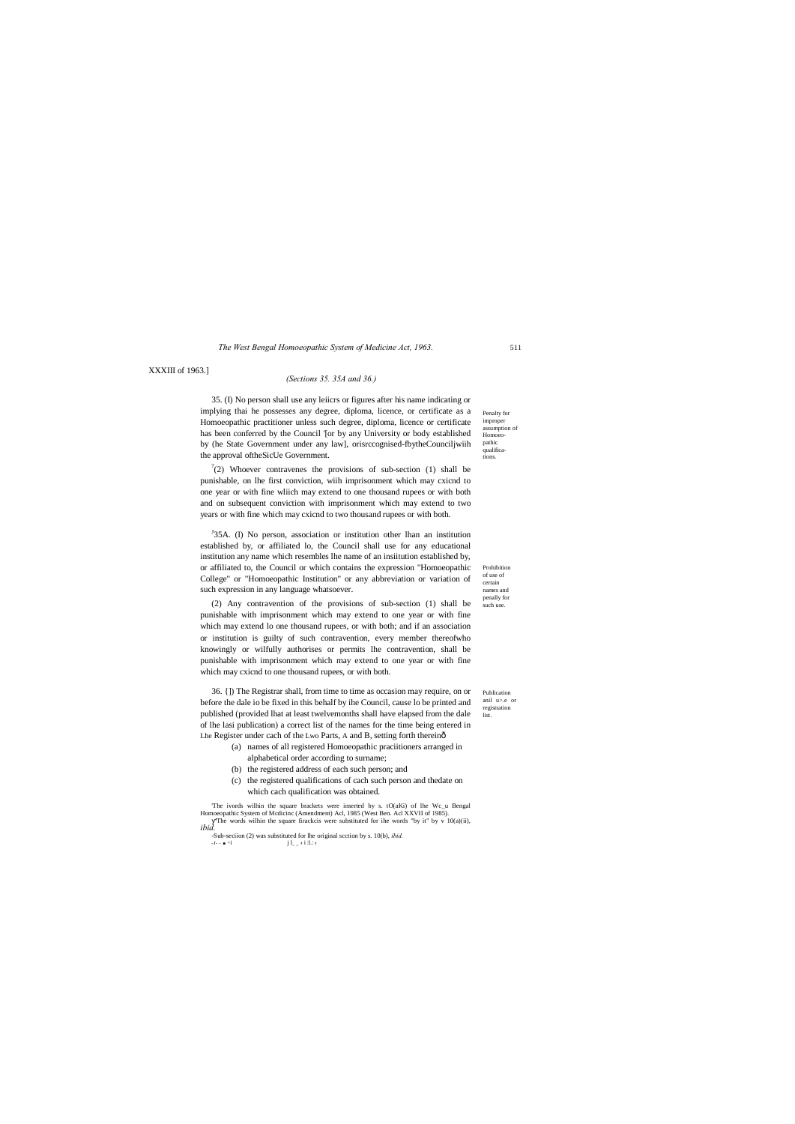Publication anil u>.e or registration list. 36. {]) The Registrar shall, from time to time as occasion may require, on or before the dale io be fixed in this behalf by ihe Council, cause lo be printed and published (provided lhat at least twelvemonths shall have elapsed from the dale of lhe lasi publication) a correct list of the names for the time being entered in Lhe Register under cach of the Lwo Parts, A and B, setting forth thereinô

Prohibition of use of certain names and penally for such use.

*The West Bengal Homoeopathic System of Medicine Act, 1963.*

XXXIII of 1963.]

#### *(Sections 35. 35A and 36.)*

Penalty for improper assumption of Homoec pathic qualifications. 35. (I) No person shall use any leiicrs or figures after his name indicating or implying thai he possesses any degree, diploma, licence, or certificate as a Homoeopathic practitioner unless such degree, diploma, licence or certificate has been conferred by the Council '[or by any University or body established by (he State Government under any law], orisrccognised-fbytheCounciljwiih the approval oftheSicUe Government.

 $^{2}(2)$  Whoever contravenes the provisions of sub-section (1) shall be punishable, on lhe first conviction, wiih imprisonment which may cxicnd to one year or with fine wliich may extend to one thousand rupees or with both and on subsequent conviction with imprisonment which may extend to two years or with fine which may cxicnd to two thousand rupees or with both.

<sup>J</sup>35A. (I) No person, association or institution other lhan an institution established by, or affiliated lo, the Council shall use for any educational institution any name which resembles lhe name of an insiitution established by, or affiliated to, the Council or which contains the expression "Homoeopathic College" or "Homoeopathic Institution" or any abbreviation or variation of such expression in any language whatsoever.

(2) Any contravention of the provisions of sub-section (1) shall be punishable with imprisonment which may extend to one year or with fine which may extend lo one thousand rupees, or with both; and if an association or institution is guilty of such contravention, every member thereofwho knowingly or wilfully authorises or permits lhe contravention, shall be punishable with imprisonment which may extend to one year or with fine which may cxicnd to one thousand rupees, or with both.

- (a) names of all registered Homoeopathic praciitioners arranged in alphabetical order according to surname;
- (b) the registered address of each such person; and
- (c) the registered qualifications of cach such person and thedate on which cach qualification was obtained.

'The ivords wilhin the square brackets were inserted by s. tO(aKi) of lhe Wc\_u Bengal Homoeopathic System of Mcdicinc (Amendment) Acl, 1985 (West Ben. Acl XXVII of 1985). The words wilhin the square firackcis were substituted for ihe words "by it" by v  $10(a)(ii)$ , *ibid.*

-Sub-seciion (2) was substituted for lhe original scction by s. 10(b), *ibid.*<br> $\vec{r}$  $\int_0^1 \int_{-\pi}^{\pi} t \, \mathrm{d} \, \mathrm{d} \, \mathrm{d} \, \tau$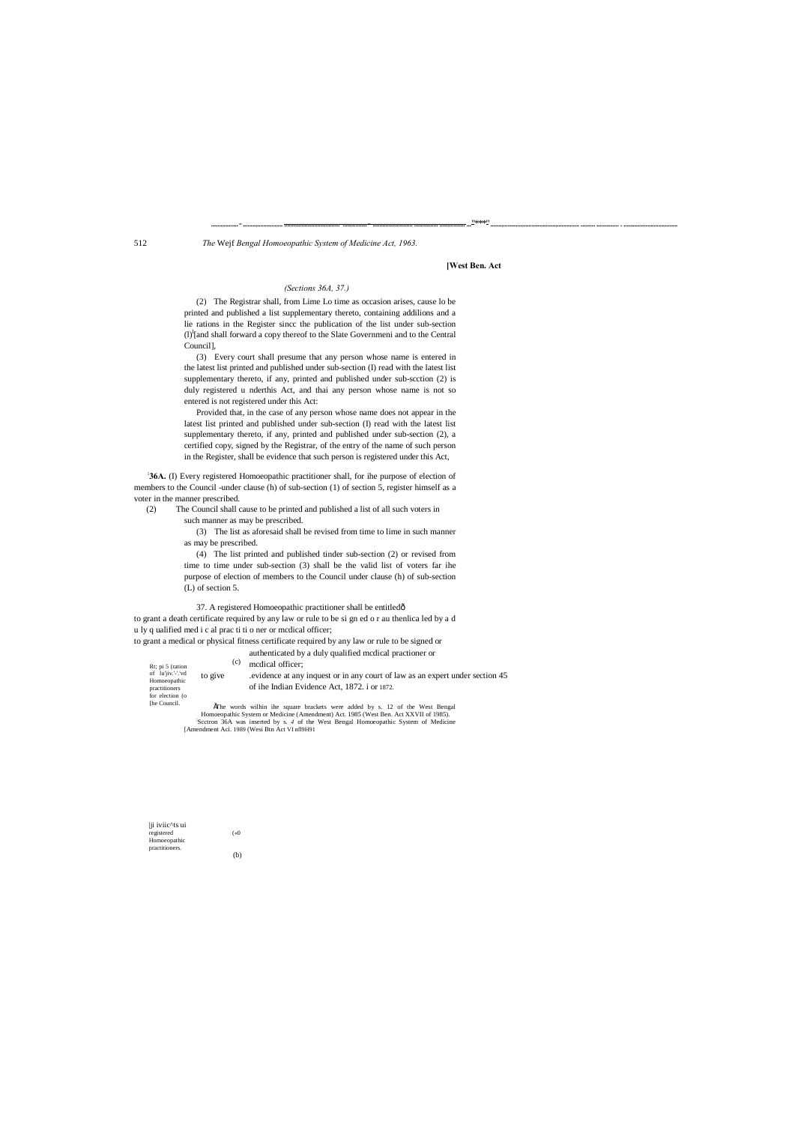.................-............................................................ ...............- ..........................................................."\*\*\*"..................................................................................................................

512 *The* Wejf *Bengal Homoeopathic System of Medicine Act, 1963.*

#### **[West Ben. Act**

#### *(Sections 36A, 37.)*

(2) The Registrar shall, from Lime Lo time as occasion arises, cause lo be printed and published a list supplementary thereto, containing addilions and a lie rations in the Register sincc the publication of the list under sub-section (1)<sup>1</sup>[and shall forward a copy thereof to the Slate Governmeni and to the Central Council],

(3) Every court shall presume that any person whose name is entered in the latest list printed and published under sub-section (I) read with the latest list supplementary thereto, if any, printed and published under sub-scction (2) is duly registered u nderthis Act, and thai any person whose name is not so entered is not registered under this Act:

Provided that, in the case of any person whose name does not appear in the latest list printed and published under sub-section (I) read with the latest list supplementary thereto, if any, printed and published under sub-section (2), a certified copy, signed by the Registrar, of the entry of the name of such person in the Register, shall be evidence that such person is registered under this Act,

| Rt; pi 5 (ration<br>of lu'jiv.'-'.'vd<br>Homoeopathic<br>practitioners | (c)<br>to give | medical officer;<br>evidence at any inquest or in any court of law as an expert under section 45<br>of ihe Indian Evidence Act, 1872. i or 1872.                                                                                                            |  |
|------------------------------------------------------------------------|----------------|-------------------------------------------------------------------------------------------------------------------------------------------------------------------------------------------------------------------------------------------------------------|--|
| for election (o<br>[he Council.                                        |                | Ethe words wilhin ihe square brackets were added by s. 12 of the West Bengal<br>Homoeopathic System or Medicine (Amendment) Act. 1985 (West Ben. Act XXVII of 1985).<br>Sectron 36A was inserted by s. 4 of the West Bengal Homoeopathic System of Medicine |  |

**: 36A.** (I) Every registered Homoeopathic practitioner shall, for ihe purpose of election of members to the Council -under clause (h) of sub-section (1) of section 5, register himself as a voter in the manner prescribed.

(2) The Council shall cause to be printed and published a list of all such voters in such manner as may be prescribed.

> (3) The list as aforesaid shall be revised from time to lime in such manner as may be prescribed.

> (4) The list printed and published tinder sub-section (2) or revised from time to time under sub-section (3) shall be the valid list of voters far ihe purpose of election of members to the Council under clause (h) of sub-section (L) of section 5.

37. A registered Homoeopathic practitioner shall be entitled—

to grant a death certificate required by any law or rule to be si gn ed o r au thenlica led by a d u ly q ualified med i c al prac ti ti o ner or mcdical officer;

to grant a medical or physical fitness certificate required by any law or rule to be signed or authenticated by a duly qualified mcdical practioner or

[Amendment Aci. 1989 (Wesi Btn Act VI nfl9H91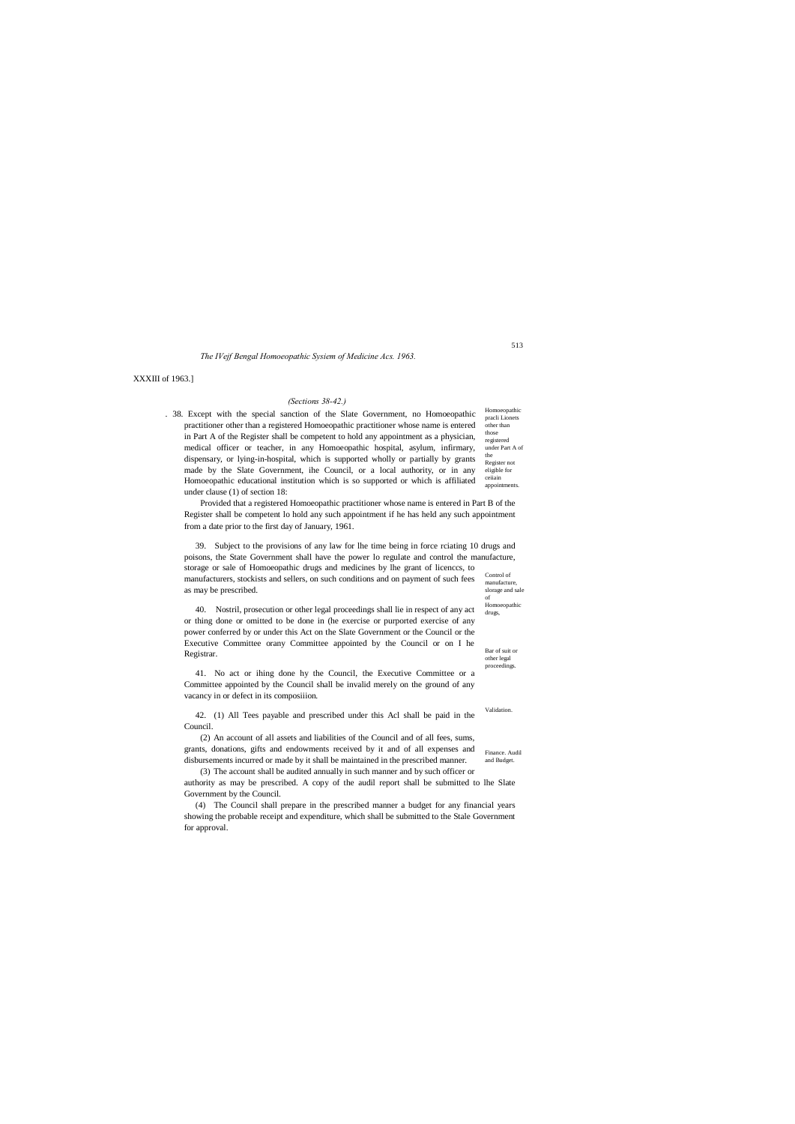slorage and sale of Homoeopathic

drugs,

Bar of suit or other legal proceedings.

*The IVejf Bengal Homoeopathic Sysiem of Medicine Acs. 1963.*

XXXIII of 1963.]

#### *(Sections 38-42.)*

Homoeopathic pracli Lionets other than those registered under Part A of the Register not eligible for ceiiain appointments. . 38. Except with the special sanction of the Slate Government, no Homoeopathic practitioner other than a registered Homoeopathic practitioner whose name is entered in Part A of the Register shall be competent to hold any appointment as a physician, medical officer or teacher, in any Homoeopathic hospital, asylum, infirmary, dispensary, or lying-in-hospital, which is supported wholly or partially by grants made by the Slate Government, ihe Council, or a local authority, or in any Homoeopathic educational institution which is so supported or which is affiliated under clause (1) of section 18:

Control of manufacture, 39. Subject to the provisions of any law for lhe time being in force rciating 10 drugs and poisons, the State Government shall have the power lo regulate and control the manufacture, storage or sale of Homoeopathic drugs and medicines by lhe grant of licenccs, to manufacturers, stockists and sellers, on such conditions and on payment of such fees as may be prescribed.

Provided that a registered Homoeopathic practitioner whose name is entered in Part B of the Register shall be competent lo hold any such appointment if he has held any such appointment from a date prior to the first day of January, 1961.

Validation. 42. (1) All Tees payable and prescribed under this Acl shall be paid in the Council.

Finance. Audil and Budget. (2) An account of all assets and liabilities of the Council and of all fees, sums, grants, donations, gifts and endowments received by it and of all expenses and disbursements incurred or made by it shall be maintained in the prescribed manner.

40. Nostril, prosecution or other legal proceedings shall lie in respect of any act or thing done or omitted to be done in (he exercise or purported exercise of any power conferred by or under this Act on the Slate Government or the Council or the Executive Committee orany Committee appointed by the Council or on I he Registrar.

41. No act or ihing done hy the Council, the Executive Committee or a Committee appointed by the Council shall be invalid merely on the ground of any vacancy in or defect in its composiiion.

(3) The account shall be audited annually in such manner and by such officer or authority as may be prescribed. A copy of the audil report shall be submitted to lhe Slate Government by the Council.

(4) The Council shall prepare in the prescribed manner a budget for any financial years showing the probable receipt and expenditure, which shall be submitted to the Stale Government for approval.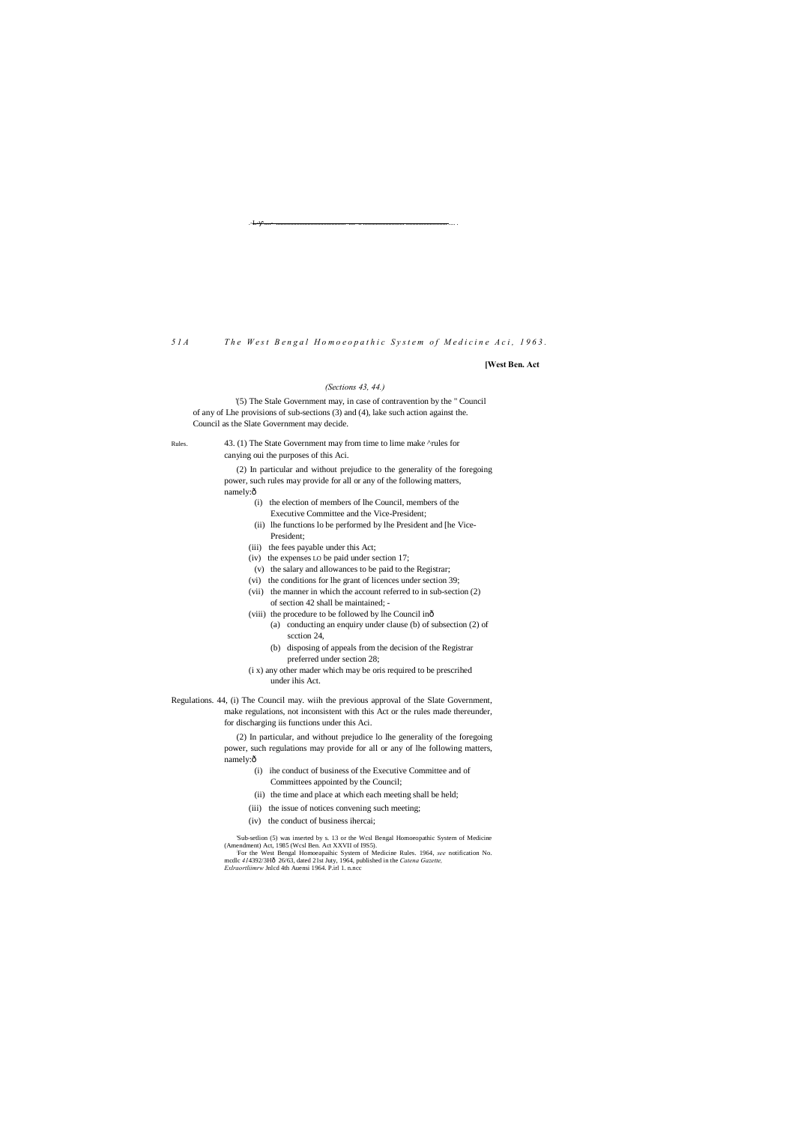.-L- ....- ............................................ .... .. .......................... .......................... .... .

**[West Ben. Act**

#### *(Sections 43, 44.)*

Rules. 43. (1) The State Government may from time to lime make ^rules for canying oui the purposes of this Aci.

> (2) In particular and without prejudice to the generality of the foregoing power, such rules may provide for all or any of the following matters, namely:ô

'(5) The Stale Government may, in case of contravention by the " Council of any of Lhe provisions of sub-sections (3) and (4), lake such action against the. Council as the Slate Government may decide.

(2) In particular, and without prejudice lo Ihe generality of the foregoing power, such regulations may provide for all or any of lhe following matters, namely:ô

- (i) the election of members of lhe Council, members of the Executive Committee and the Vice-President;
- (ii) lhe functions lo be performed by lhe President and [he Vice-President;
- (iii) the fees payable under this Act;
- (iv) the expenses LO be paid under section 17;
- (v) the salary and allowances to be paid to the Registrar;
- (vi) the conditions for lhe grant of licences under section 39;
- (vii) the manner in which the account referred to in sub-section (2) of section 42 shall be maintained; -
- (viii) the procedure to be followed by lhe Council inô
	- (a) conducting an enquiry under clause (b) of subsection (2) of scction 24,
	- (b) disposing of appeals from the decision of the Registrar preferred under section 28;
- (i x) any other mader which may be oris required to be prescrihed under ihis Act.

Regulations. 44, (i) The Council may. wiih the previous approval of the Slate Government, make regulations, not inconsistent with this Act or the rules made thereunder, for discharging iis functions under this Aci.

- (i) ihe conduct of business of the Executive Committee and of Committees appointed by the Council;
- (ii) the time and place at which each meeting shall be held;
- (iii) the issue of notices convening such meeting;
- (iv) the conduct of business ihercai;

'Sub-setlion (5) was inserted by s. 13 or the Wcsl Bengal Homoeopathic System of Medicine

(Amendment) Act, 1985 (Wcsl Ben. Act XXVII of I9S5). ; For the West Bengal Homoeapaihic System of Medicine Rules. 1964, *see* notification No. mcdlc 414392/3Hô 26/63, dated 21st Juty, 1964, published in the *Catena Gazette*, *Exlraortliimrw* Jnlcd 4th Auensi 1964. P.irl 1. n.ncc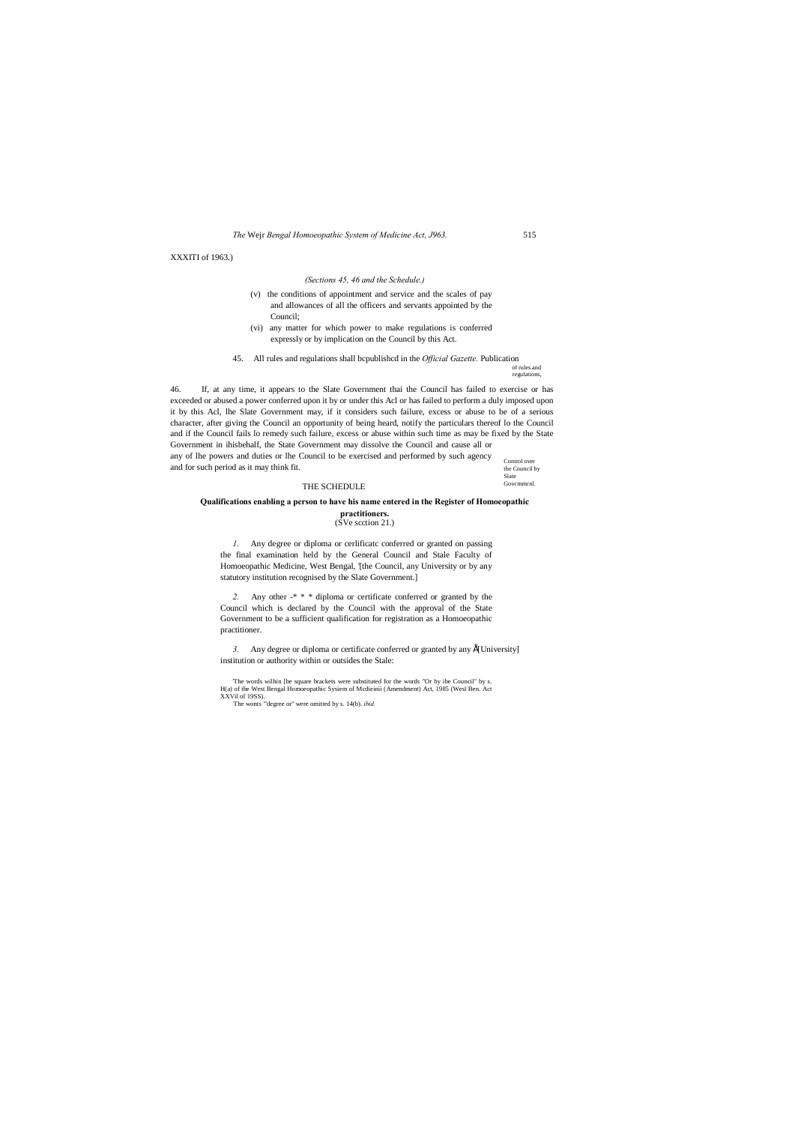Govcmmcnl.

#### *The* Wejr *Bengal Homoeopathic System of Medicine Act, J963.* 515

XXXITI of 1963.)

#### *(Sections 45, 46 and the Schedule.)*

- (v) the conditions of appointment and service and the scales of pay and allowances of all the officers and servants appointed by the Council;
- (vi) any matter for which power to make regulations is conferred expressly or by implication on the Council by this Act.
- 45. All rules and regulations shall bcpublishcd in the *Official Gazette*. Publication of rules and regulations of rules and regulations,

Control over the Council by Slate 46. If, at any time, it appears to the Slate Government thai the Council has failed to exercise or has exceeded or abused a power conferred upon it by or under this Acl or has failed to perform a duly imposed upon it by this Acl, lhe Slate Government may, if it considers such failure, excess or abuse to be of a serious character, after giving the Council an opportunity of being heard, notify the particulars thereof lo the Council and if the Council fails lo remedy such failure, excess or abuse within such time as may be fixed by the State Government in ihisbehalf, the State Government may dissolve the Council and cause all or any of lhe powers and duties or lhe Council to be exercised and performed by such agency and for such period as it may think fit.

> 3. Any degree or diploma or certificate conferred or granted by any É[University] institution or authority within or outsides the Stale:

#### THE SCHEDULE

### **Qualifications enabling a person to have his name entered in the Register of Homoeopathic practitioners.**

(SVe scction 21.)

*1.* Any degree or diploma or cerlificatc conferred or granted on passing the final examination held by the General Council and Stale Faculty of Homoeopathic Medicine, West Bengal, '[the Council, any University or by any statutory institution recognised by the Slate Government.]

*2.* Any other -\* \* \* diploma or certificate conferred or granted by the Council which is declared by the Council with the approval of the State Government to be a sufficient qualification for registration as a Homoeopathic practitioner.

<sup>&#</sup>x27;The words wilhin [be square brackets were substituted for the words "Or by ibe Council" by s. H(a) of the West Bengal Homoeopathic Sysiem of Mcdieinii (Amendment) Act, 1985 (Wesl Ben. Act XXVil of 19SS).

The wonts "'degree or'' were omitted by s. 14(b). *ibid.*